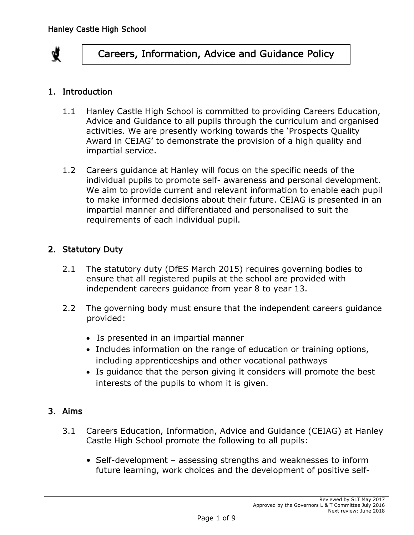

#### 1. Introduction

- 1.1 Hanley Castle High School is committed to providing Careers Education, Advice and Guidance to all pupils through the curriculum and organised activities. We are presently working towards the 'Prospects Quality Award in CEIAG' to demonstrate the provision of a high quality and impartial service.
- 1.2 Careers guidance at Hanley will focus on the specific needs of the individual pupils to promote self- awareness and personal development. We aim to provide current and relevant information to enable each pupil to make informed decisions about their future. CEIAG is presented in an impartial manner and differentiated and personalised to suit the requirements of each individual pupil.

#### 2. Statutory Duty

- 2.1 The statutory duty (DfES March 2015) requires governing bodies to ensure that all registered pupils at the school are provided with independent careers guidance from year 8 to year 13.
- 2.2 The governing body must ensure that the independent careers guidance provided:
	- Is presented in an impartial manner
	- Includes information on the range of education or training options, including apprenticeships and other vocational pathways
	- Is quidance that the person giving it considers will promote the best interests of the pupils to whom it is given.

## 3. Aims

- 3.1 Careers Education, Information, Advice and Guidance (CEIAG) at Hanley Castle High School promote the following to all pupils:
	- Self-development assessing strengths and weaknesses to inform future learning, work choices and the development of positive self-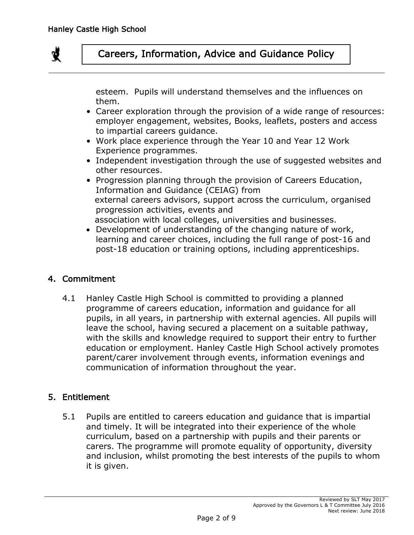

esteem. Pupils will understand themselves and the influences on them.

- Career exploration through the provision of a wide range of resources: employer engagement, websites, Books, leaflets, posters and access to impartial careers guidance.
- Work place experience through the Year 10 and Year 12 Work Experience programmes.
- Independent investigation through the use of suggested websites and other resources.
- Progression planning through the provision of Careers Education, Information and Guidance (CEIAG) from external careers advisors, support across the curriculum, organised progression activities, events and association with local colleges, universities and businesses.
- Development of understanding of the changing nature of work, learning and career choices, including the full range of post-16 and post-18 education or training options, including apprenticeships.

## 4. Commitment

4.1 Hanley Castle High School is committed to providing a planned programme of careers education, information and guidance for all pupils, in all years, in partnership with external agencies. All pupils will leave the school, having secured a placement on a suitable pathway, with the skills and knowledge required to support their entry to further education or employment. Hanley Castle High School actively promotes parent/carer involvement through events, information evenings and communication of information throughout the year.

## 5. Entitlement

5.1 Pupils are entitled to careers education and guidance that is impartial and timely. It will be integrated into their experience of the whole curriculum, based on a partnership with pupils and their parents or carers. The programme will promote equality of opportunity, diversity and inclusion, whilst promoting the best interests of the pupils to whom it is given.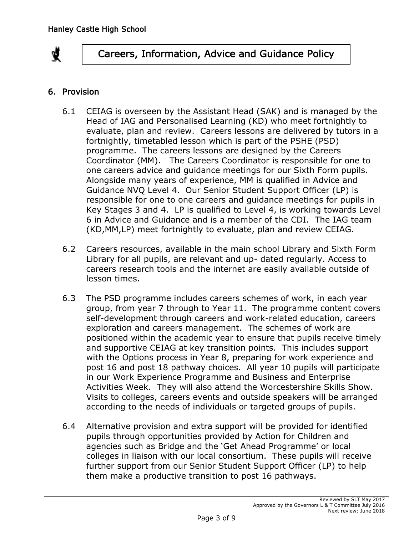

## 6. Provision

- 6.1 CEIAG is overseen by the Assistant Head (SAK) and is managed by the Head of IAG and Personalised Learning (KD) who meet fortnightly to evaluate, plan and review. Careers lessons are delivered by tutors in a fortnightly, timetabled lesson which is part of the PSHE (PSD) programme. The careers lessons are designed by the Careers Coordinator (MM). The Careers Coordinator is responsible for one to one careers advice and guidance meetings for our Sixth Form pupils. Alongside many years of experience, MM is qualified in Advice and Guidance NVQ Level 4. Our Senior Student Support Officer (LP) is responsible for one to one careers and guidance meetings for pupils in Key Stages 3 and 4. LP is qualified to Level 4, is working towards Level 6 in Advice and Guidance and is a member of the CDI. The IAG team (KD,MM,LP) meet fortnightly to evaluate, plan and review CEIAG.
- 6.2 Careers resources, available in the main school Library and Sixth Form Library for all pupils, are relevant and up- dated regularly. Access to careers research tools and the internet are easily available outside of lesson times.
- 6.3 The PSD programme includes careers schemes of work, in each year group, from year 7 through to Year 11. The programme content covers self-development through careers and work-related education, careers exploration and careers management. The schemes of work are positioned within the academic year to ensure that pupils receive timely and supportive CEIAG at key transition points. This includes support with the Options process in Year 8, preparing for work experience and post 16 and post 18 pathway choices. All year 10 pupils will participate in our Work Experience Programme and Business and Enterprise Activities Week. They will also attend the Worcestershire Skills Show. Visits to colleges, careers events and outside speakers will be arranged according to the needs of individuals or targeted groups of pupils.
- 6.4 Alternative provision and extra support will be provided for identified pupils through opportunities provided by Action for Children and agencies such as Bridge and the 'Get Ahead Programme' or local colleges in liaison with our local consortium. These pupils will receive further support from our Senior Student Support Officer (LP) to help them make a productive transition to post 16 pathways.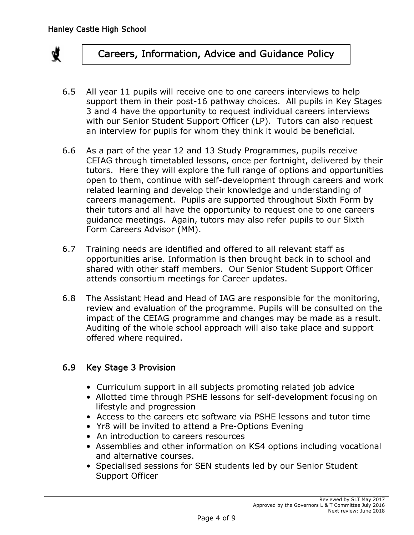

- 6.5 All year 11 pupils will receive one to one careers interviews to help support them in their post-16 pathway choices. All pupils in Key Stages 3 and 4 have the opportunity to request individual careers interviews with our Senior Student Support Officer (LP). Tutors can also request an interview for pupils for whom they think it would be beneficial.
- 6.6 As a part of the year 12 and 13 Study Programmes, pupils receive CEIAG through timetabled lessons, once per fortnight, delivered by their tutors. Here they will explore the full range of options and opportunities open to them, continue with self-development through careers and work related learning and develop their knowledge and understanding of careers management. Pupils are supported throughout Sixth Form by their tutors and all have the opportunity to request one to one careers guidance meetings. Again, tutors may also refer pupils to our Sixth Form Careers Advisor (MM).
- 6.7 Training needs are identified and offered to all relevant staff as opportunities arise. Information is then brought back in to school and shared with other staff members. Our Senior Student Support Officer attends consortium meetings for Career updates.
- 6.8 The Assistant Head and Head of IAG are responsible for the monitoring, review and evaluation of the programme. Pupils will be consulted on the impact of the CEIAG programme and changes may be made as a result. Auditing of the whole school approach will also take place and support offered where required.

#### 6.9 Key Stage 3 Provision

- Curriculum support in all subjects promoting related job advice
- Allotted time through PSHE lessons for self-development focusing on lifestyle and progression
- Access to the careers etc software via PSHE lessons and tutor time
- Yr8 will be invited to attend a Pre-Options Evening
- An introduction to careers resources
- Assemblies and other information on KS4 options including vocational and alternative courses.
- Specialised sessions for SEN students led by our Senior Student Support Officer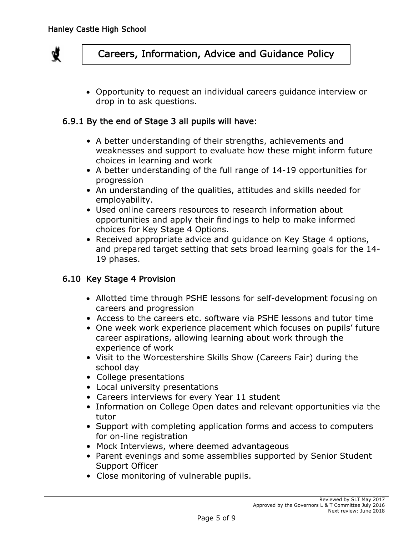

 Opportunity to request an individual careers guidance interview or drop in to ask questions.

#### 6.9.1 By the end of Stage 3 all pupils will have:

- A better understanding of their strengths, achievements and weaknesses and support to evaluate how these might inform future choices in learning and work
- A better understanding of the full range of 14-19 opportunities for progression
- An understanding of the qualities, attitudes and skills needed for employability.
- Used online careers resources to research information about opportunities and apply their findings to help to make informed choices for Key Stage 4 Options.
- Received appropriate advice and guidance on Key Stage 4 options, and prepared target setting that sets broad learning goals for the 14- 19 phases.

#### 6.10 Key Stage 4 Provision

- Allotted time through PSHE lessons for self-development focusing on careers and progression
- Access to the careers etc. software via PSHE lessons and tutor time
- One week work experience placement which focuses on pupils' future career aspirations, allowing learning about work through the experience of work
- Visit to the Worcestershire Skills Show (Careers Fair) during the school day
- College presentations
- Local university presentations
- Careers interviews for every Year 11 student
- Information on College Open dates and relevant opportunities via the tutor
- Support with completing application forms and access to computers for on-line registration
- Mock Interviews, where deemed advantageous
- Parent evenings and some assemblies supported by Senior Student Support Officer
- Close monitoring of vulnerable pupils.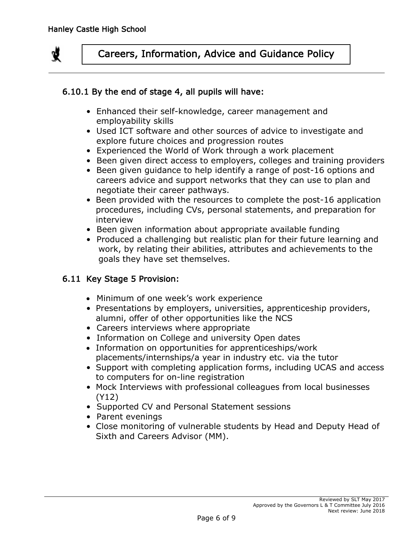

#### 6.10.1 By the end of stage 4, all pupils will have:

- Enhanced their self-knowledge, career management and employability skills
- Used ICT software and other sources of advice to investigate and explore future choices and progression routes
- Experienced the World of Work through a work placement
- Been given direct access to employers, colleges and training providers
- Been given guidance to help identify a range of post-16 options and careers advice and support networks that they can use to plan and negotiate their career pathways.
- Been provided with the resources to complete the post-16 application procedures, including CVs, personal statements, and preparation for interview
- Been given information about appropriate available funding
- Produced a challenging but realistic plan for their future learning and work, by relating their abilities, attributes and achievements to the goals they have set themselves.

## 6.11 Key Stage 5 Provision:

- Minimum of one week's work experience
- Presentations by employers, universities, apprenticeship providers, alumni, offer of other opportunities like the NCS
- Careers interviews where appropriate
- Information on College and university Open dates
- Information on opportunities for apprenticeships/work placements/internships/a year in industry etc. via the tutor
- Support with completing application forms, including UCAS and access to computers for on-line registration
- Mock Interviews with professional colleagues from local businesses (Y12)
- Supported CV and Personal Statement sessions
- Parent evenings
- Close monitoring of vulnerable students by Head and Deputy Head of Sixth and Careers Advisor (MM).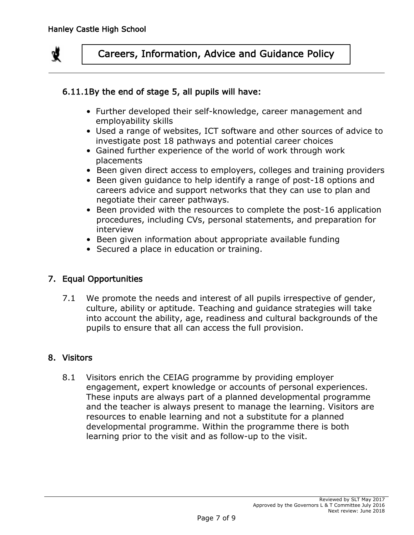

## 6.11.1By the end of stage 5, all pupils will have:

- Further developed their self-knowledge, career management and employability skills
- Used a range of websites, ICT software and other sources of advice to investigate post 18 pathways and potential career choices
- Gained further experience of the world of work through work placements
- Been given direct access to employers, colleges and training providers
- Been given guidance to help identify a range of post-18 options and careers advice and support networks that they can use to plan and negotiate their career pathways.
- Been provided with the resources to complete the post-16 application procedures, including CVs, personal statements, and preparation for interview
- Been given information about appropriate available funding
- Secured a place in education or training.

#### 7. Equal Opportunities

7.1 We promote the needs and interest of all pupils irrespective of gender, culture, ability or aptitude. Teaching and guidance strategies will take into account the ability, age, readiness and cultural backgrounds of the pupils to ensure that all can access the full provision.

#### 8. Visitors

8.1 Visitors enrich the CEIAG programme by providing employer engagement, expert knowledge or accounts of personal experiences. These inputs are always part of a planned developmental programme and the teacher is always present to manage the learning. Visitors are resources to enable learning and not a substitute for a planned developmental programme. Within the programme there is both learning prior to the visit and as follow-up to the visit.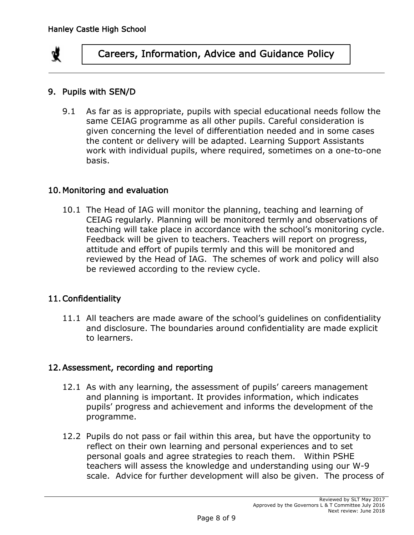

#### 9. Pupils with SEN/D

9.1 As far as is appropriate, pupils with special educational needs follow the same CEIAG programme as all other pupils. Careful consideration is given concerning the level of differentiation needed and in some cases the content or delivery will be adapted. Learning Support Assistants work with individual pupils, where required, sometimes on a one-to-one basis.

#### 10. Monitoring and evaluation

10.1 The Head of IAG will monitor the planning, teaching and learning of CEIAG regularly. Planning will be monitored termly and observations of teaching will take place in accordance with the school's monitoring cycle. Feedback will be given to teachers. Teachers will report on progress, attitude and effort of pupils termly and this will be monitored and reviewed by the Head of IAG. The schemes of work and policy will also be reviewed according to the review cycle.

## 11.Confidentiality

11.1 All teachers are made aware of the school's guidelines on confidentiality and disclosure. The boundaries around confidentiality are made explicit to learners.

#### 12.Assessment, recording and reporting

- 12.1 As with any learning, the assessment of pupils' careers management and planning is important. It provides information, which indicates pupils' progress and achievement and informs the development of the programme.
- 12.2 Pupils do not pass or fail within this area, but have the opportunity to reflect on their own learning and personal experiences and to set personal goals and agree strategies to reach them. Within PSHE teachers will assess the knowledge and understanding using our W-9 scale. Advice for further development will also be given. The process of